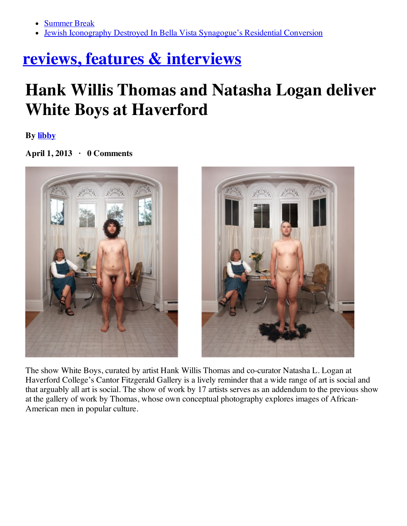- [Summer](http://hiddencityphila.org/2014/06/summer-break/) Break  $\bullet$
- Jewish Iconography Destroyed In Bella Vista [Synagogue's](http://hiddencityphila.org/2014/06/jewish-iconography-destroyed-in-bella-vista-synagogues-residential-conversion/) Residential Conversion

## **reviews, features & [interviews](http://www.theartblog.org/category/reviews-features/)**

## **Hank Willis Thomas and Natasha Logan deliver White Boys at Haverford**

**By [libby](http://www.theartblog.org/author/libbyrosof/)**

**April 1, 2013 · 0 Comments**



The show White Boys, curated by artist Hank Willis Thomas and co-curator Natasha L. Logan at Haverford College's Cantor Fitzgerald Gallery is a lively reminder that a wide range of art is social and that arguably all art is social. The show of work by 17 artists serves as an addendum to the previous show at the gallery of work by Thomas, whose own conceptual photography explores images of African-American men in popular culture.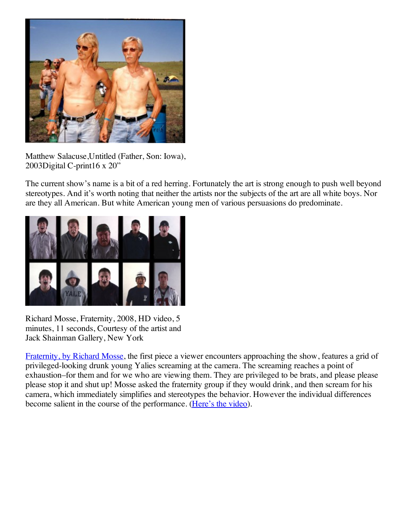

Matthew Salacuse,Untitled (Father, Son: Iowa), 2003Digital C-print16 x 20"

The current show's name is a bit of a red herring. Fortunately the art is strong enough to push well beyond stereotypes. And it's worth noting that neither the artists nor the subjects of the art are all white boys. Nor are they all American. But white American young men of various persuasions do predominate.



Richard Mosse, Fraternity, 2008, HD video, 5 minutes, 11 seconds, Courtesy of the artist and Jack Shainman Gallery, New York

[Fraternity,](http://player.vimeo.com/video/2147805) by Richard Mosse, the first piece a viewer encounters approaching the show, features a grid of privileged-looking drunk young Yalies screaming at the camera. The screaming reaches a point of exhaustion–for them and for we who are viewing them. They are privileged to be brats, and please please please stop it and shut up! Mosse asked the fraternity group if they would drink, and then scream for his camera, which immediately simplifies and stereotypes the behavior. However the individual differences become salient in the course of the performance. [\(Here's](http://player.vimeo.com/video/2147805) the video).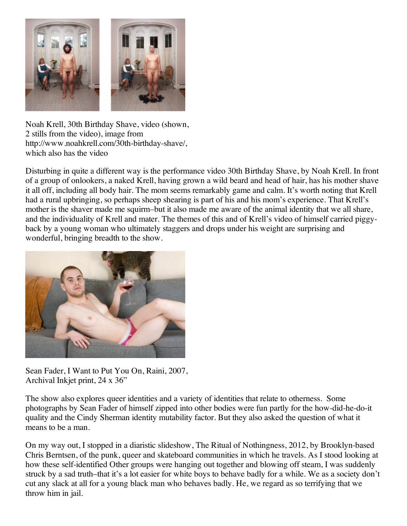

Noah Krell, 30th Birthday Shave, video (shown, 2 stills from the video), image from http://www.noahkrell.com/30th-birthday-shave/, which also has the video

Disturbing in quite a different way is the performance video 30th Birthday Shave, by Noah Krell. In front of a group of onlookers, a naked Krell, having grown a wild beard and head of hair, has his mother shave it all off, including all body hair. The mom seems remarkably game and calm. It's worth noting that Krell had a rural upbringing, so perhaps sheep shearing is part of his and his mom's experience. That Krell's mother is the shaver made me squirm–but it also made me aware of the animal identity that we all share, and the individuality of Krell and mater. The themes of this and of Krell's video of himself carried piggyback by a young woman who ultimately staggers and drops under his weight are surprising and wonderful, bringing breadth to the show.



Sean Fader, I Want to Put You On, Raini, 2007, Archival Inkjet print, 24 x 36"

The show also explores queer identities and a variety of identities that relate to otherness. Some photographs by Sean Fader of himself zipped into other bodies were fun partly for the how-did-he-do-it quality and the Cindy Sherman identity mutability factor. But they also asked the question of what it means to be a man.

On my way out, I stopped in a diaristic slideshow, The Ritual of Nothingness, 2012, by Brooklyn-based Chris Berntsen, of the punk, queer and skateboard communities in which he travels. As I stood looking at how these self-identified Other groups were hanging out together and blowing off steam, I was suddenly struck by a sad truth–that it's a lot easier for white boys to behave badly for a while. We as a society don't cut any slack at all for a young black man who behaves badly. He, we regard as so terrifying that we throw him in jail.